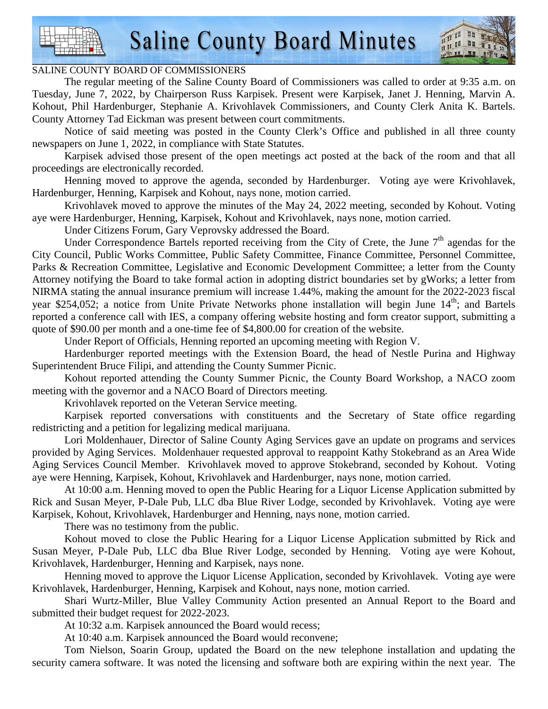

#### SALINE COUNTY BOARD OF COMMISSIONERS

 The regular meeting of the Saline County Board of Commissioners was called to order at 9:35 a.m. on Tuesday, June 7, 2022, by Chairperson Russ Karpisek. Present were Karpisek, Janet J. Henning, Marvin A. Kohout, Phil Hardenburger, Stephanie A. Krivohlavek Commissioners, and County Clerk Anita K. Bartels. County Attorney Tad Eickman was present between court commitments.

 Notice of said meeting was posted in the County Clerk's Office and published in all three county newspapers on June 1, 2022, in compliance with State Statutes.

 Karpisek advised those present of the open meetings act posted at the back of the room and that all proceedings are electronically recorded.

 Henning moved to approve the agenda, seconded by Hardenburger. Voting aye were Krivohlavek, Hardenburger, Henning, Karpisek and Kohout, nays none, motion carried.

 Krivohlavek moved to approve the minutes of the May 24, 2022 meeting, seconded by Kohout. Voting aye were Hardenburger, Henning, Karpisek, Kohout and Krivohlavek, nays none, motion carried.

Under Citizens Forum, Gary Veprovsky addressed the Board.

Under Correspondence Bartels reported receiving from the City of Crete, the June  $7<sup>th</sup>$  agendas for the City Council, Public Works Committee, Public Safety Committee, Finance Committee, Personnel Committee, Parks & Recreation Committee, Legislative and Economic Development Committee; a letter from the County Attorney notifying the Board to take formal action in adopting district boundaries set by gWorks; a letter from NIRMA stating the annual insurance premium will increase 1.44%, making the amount for the 2022-2023 fiscal year \$254,052; a notice from Unite Private Networks phone installation will begin June 14<sup>th</sup>; and Bartels reported a conference call with IES, a company offering website hosting and form creator support, submitting a quote of \$90.00 per month and a one-time fee of \$4,800.00 for creation of the website.

Under Report of Officials, Henning reported an upcoming meeting with Region V.

 Hardenburger reported meetings with the Extension Board, the head of Nestle Purina and Highway Superintendent Bruce Filipi, and attending the County Summer Picnic.

 Kohout reported attending the County Summer Picnic, the County Board Workshop, a NACO zoom meeting with the governor and a NACO Board of Directors meeting.

Krivohlavek reported on the Veteran Service meeting.

 Karpisek reported conversations with constituents and the Secretary of State office regarding redistricting and a petition for legalizing medical marijuana.

 Lori Moldenhauer, Director of Saline County Aging Services gave an update on programs and services provided by Aging Services. Moldenhauer requested approval to reappoint Kathy Stokebrand as an Area Wide Aging Services Council Member. Krivohlavek moved to approve Stokebrand, seconded by Kohout. Voting aye were Henning, Karpisek, Kohout, Krivohlavek and Hardenburger, nays none, motion carried.

 At 10:00 a.m. Henning moved to open the Public Hearing for a Liquor License Application submitted by Rick and Susan Meyer, P-Dale Pub, LLC dba Blue River Lodge, seconded by Krivohlavek. Voting aye were Karpisek, Kohout, Krivohlavek, Hardenburger and Henning, nays none, motion carried.

There was no testimony from the public.

 Kohout moved to close the Public Hearing for a Liquor License Application submitted by Rick and Susan Meyer, P-Dale Pub, LLC dba Blue River Lodge, seconded by Henning. Voting aye were Kohout, Krivohlavek, Hardenburger, Henning and Karpisek, nays none.

 Henning moved to approve the Liquor License Application, seconded by Krivohlavek. Voting aye were Krivohlavek, Hardenburger, Henning, Karpisek and Kohout, nays none, motion carried.

 Shari Wurtz-Miller, Blue Valley Community Action presented an Annual Report to the Board and submitted their budget request for 2022-2023.

At 10:32 a.m. Karpisek announced the Board would recess;

At 10:40 a.m. Karpisek announced the Board would reconvene;

 Tom Nielson, Soarin Group, updated the Board on the new telephone installation and updating the security camera software. It was noted the licensing and software both are expiring within the next year. The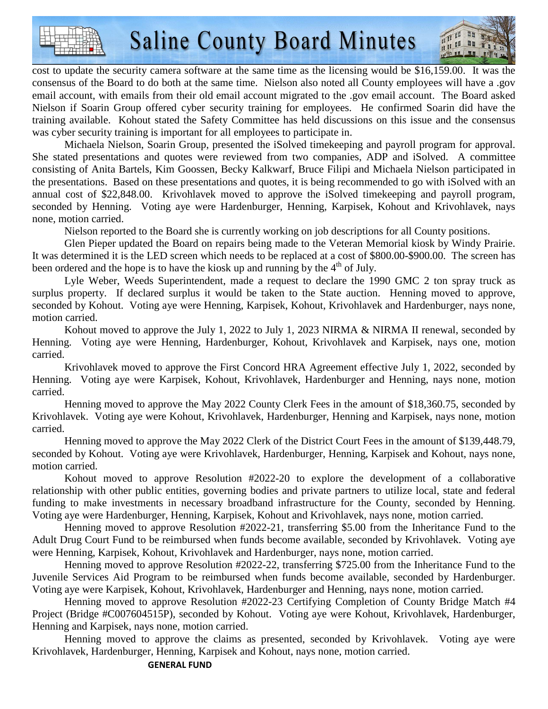

cost to update the security camera software at the same time as the licensing would be \$16,159.00. It was the consensus of the Board to do both at the same time. Nielson also noted all County employees will have a .gov email account, with emails from their old email account migrated to the .gov email account. The Board asked Nielson if Soarin Group offered cyber security training for employees. He confirmed Soarin did have the training available. Kohout stated the Safety Committee has held discussions on this issue and the consensus was cyber security training is important for all employees to participate in.

 Michaela Nielson, Soarin Group, presented the iSolved timekeeping and payroll program for approval. She stated presentations and quotes were reviewed from two companies, ADP and iSolved. A committee consisting of Anita Bartels, Kim Goossen, Becky Kalkwarf, Bruce Filipi and Michaela Nielson participated in the presentations. Based on these presentations and quotes, it is being recommended to go with iSolved with an annual cost of \$22,848.00. Krivohlavek moved to approve the iSolved timekeeping and payroll program, seconded by Henning. Voting aye were Hardenburger, Henning, Karpisek, Kohout and Krivohlavek, nays none, motion carried.

Nielson reported to the Board she is currently working on job descriptions for all County positions.

 Glen Pieper updated the Board on repairs being made to the Veteran Memorial kiosk by Windy Prairie. It was determined it is the LED screen which needs to be replaced at a cost of \$800.00-\$900.00. The screen has been ordered and the hope is to have the kiosk up and running by the  $4<sup>th</sup>$  of July.

 Lyle Weber, Weeds Superintendent, made a request to declare the 1990 GMC 2 ton spray truck as surplus property. If declared surplus it would be taken to the State auction. Henning moved to approve, seconded by Kohout. Voting aye were Henning, Karpisek, Kohout, Krivohlavek and Hardenburger, nays none, motion carried.

Kohout moved to approve the July 1, 2022 to July 1, 2023 NIRMA & NIRMA II renewal, seconded by Henning. Voting aye were Henning, Hardenburger, Kohout, Krivohlavek and Karpisek, nays one, motion carried.

 Krivohlavek moved to approve the First Concord HRA Agreement effective July 1, 2022, seconded by Henning. Voting aye were Karpisek, Kohout, Krivohlavek, Hardenburger and Henning, nays none, motion carried.

 Henning moved to approve the May 2022 County Clerk Fees in the amount of \$18,360.75, seconded by Krivohlavek. Voting aye were Kohout, Krivohlavek, Hardenburger, Henning and Karpisek, nays none, motion carried.

 Henning moved to approve the May 2022 Clerk of the District Court Fees in the amount of \$139,448.79, seconded by Kohout. Voting aye were Krivohlavek, Hardenburger, Henning, Karpisek and Kohout, nays none, motion carried.

 Kohout moved to approve Resolution #2022-20 to explore the development of a collaborative relationship with other public entities, governing bodies and private partners to utilize local, state and federal funding to make investments in necessary broadband infrastructure for the County, seconded by Henning. Voting aye were Hardenburger, Henning, Karpisek, Kohout and Krivohlavek, nays none, motion carried.

 Henning moved to approve Resolution #2022-21, transferring \$5.00 from the Inheritance Fund to the Adult Drug Court Fund to be reimbursed when funds become available, seconded by Krivohlavek. Voting aye were Henning, Karpisek, Kohout, Krivohlavek and Hardenburger, nays none, motion carried.

 Henning moved to approve Resolution #2022-22, transferring \$725.00 from the Inheritance Fund to the Juvenile Services Aid Program to be reimbursed when funds become available, seconded by Hardenburger. Voting aye were Karpisek, Kohout, Krivohlavek, Hardenburger and Henning, nays none, motion carried.

 Henning moved to approve Resolution #2022-23 Certifying Completion of County Bridge Match #4 Project (Bridge #C007604515P), seconded by Kohout. Voting aye were Kohout, Krivohlavek, Hardenburger, Henning and Karpisek, nays none, motion carried.

 Henning moved to approve the claims as presented, seconded by Krivohlavek. Voting aye were Krivohlavek, Hardenburger, Henning, Karpisek and Kohout, nays none, motion carried.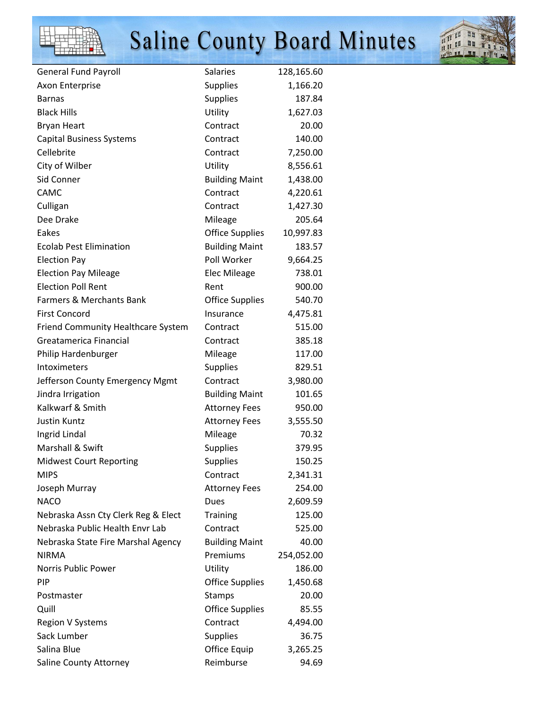



| <b>General Fund Payroll</b>         | <b>Salaries</b>        | 128,165.60 |
|-------------------------------------|------------------------|------------|
| Axon Enterprise                     | <b>Supplies</b>        | 1,166.20   |
| <b>Barnas</b>                       | <b>Supplies</b>        | 187.84     |
| <b>Black Hills</b>                  | Utility                | 1,627.03   |
| <b>Bryan Heart</b>                  | Contract               | 20.00      |
| <b>Capital Business Systems</b>     | Contract               | 140.00     |
| Cellebrite                          | Contract               | 7,250.00   |
| City of Wilber                      | Utility                | 8,556.61   |
| Sid Conner                          | <b>Building Maint</b>  | 1,438.00   |
| CAMC                                | Contract               | 4,220.61   |
| Culligan                            | Contract               | 1,427.30   |
| Dee Drake                           | Mileage                | 205.64     |
| Eakes                               | <b>Office Supplies</b> | 10,997.83  |
| <b>Ecolab Pest Elimination</b>      | <b>Building Maint</b>  | 183.57     |
| <b>Election Pay</b>                 | Poll Worker            | 9,664.25   |
| <b>Election Pay Mileage</b>         | <b>Elec Mileage</b>    | 738.01     |
| <b>Election Poll Rent</b>           | Rent                   | 900.00     |
| <b>Farmers &amp; Merchants Bank</b> | <b>Office Supplies</b> | 540.70     |
| <b>First Concord</b>                | Insurance              | 4,475.81   |
| Friend Community Healthcare System  | Contract               | 515.00     |
| Greatamerica Financial              | Contract               | 385.18     |
| Philip Hardenburger                 | Mileage                | 117.00     |
| Intoximeters                        | <b>Supplies</b>        | 829.51     |
| Jefferson County Emergency Mgmt     | Contract               | 3,980.00   |
| Jindra Irrigation                   | <b>Building Maint</b>  | 101.65     |
| Kalkwarf & Smith                    | <b>Attorney Fees</b>   | 950.00     |
| Justin Kuntz                        | <b>Attorney Fees</b>   | 3,555.50   |
| Ingrid Lindal                       | Mileage                | 70.32      |
| Marshall & Swift                    | <b>Supplies</b>        | 379.95     |
| <b>Midwest Court Reporting</b>      | <b>Supplies</b>        | 150.25     |
| <b>MIPS</b>                         | Contract               | 2,341.31   |
| Joseph Murray                       | <b>Attorney Fees</b>   | 254.00     |
| <b>NACO</b>                         | Dues                   | 2,609.59   |
| Nebraska Assn Cty Clerk Reg & Elect | <b>Training</b>        | 125.00     |
| Nebraska Public Health Envr Lab     | Contract               | 525.00     |
| Nebraska State Fire Marshal Agency  | <b>Building Maint</b>  | 40.00      |
| <b>NIRMA</b>                        | Premiums               | 254,052.00 |
| Norris Public Power                 | Utility                | 186.00     |
| <b>PIP</b>                          | <b>Office Supplies</b> | 1,450.68   |
| Postmaster                          | Stamps                 | 20.00      |
| Quill                               | <b>Office Supplies</b> | 85.55      |
| Region V Systems                    | Contract               | 4,494.00   |
| Sack Lumber                         | <b>Supplies</b>        | 36.75      |
| Salina Blue                         | Office Equip           | 3,265.25   |
| Saline County Attorney              | Reimburse              | 94.69      |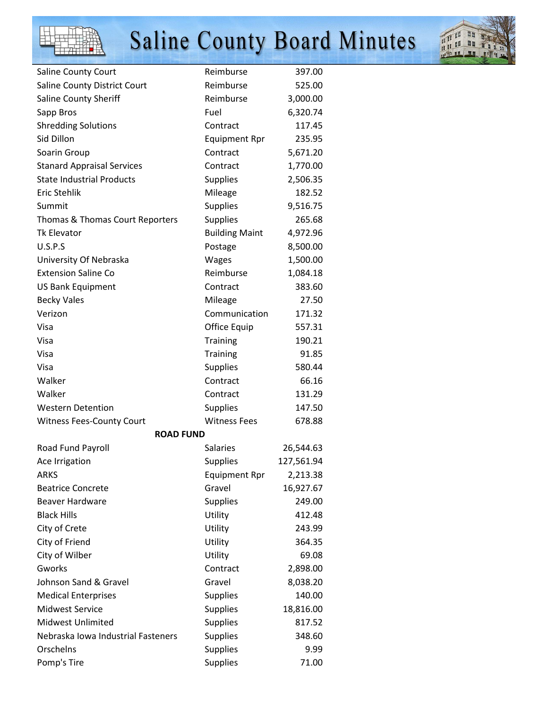



| Saline County Court                | Reimburse             | 397.00     |
|------------------------------------|-----------------------|------------|
| Saline County District Court       | Reimburse             | 525.00     |
| Saline County Sheriff              | Reimburse             | 3,000.00   |
| Sapp Bros                          | Fuel                  | 6,320.74   |
| <b>Shredding Solutions</b>         | Contract              | 117.45     |
| Sid Dillon                         | <b>Equipment Rpr</b>  | 235.95     |
| Soarin Group                       | Contract              | 5,671.20   |
| <b>Stanard Appraisal Services</b>  | Contract              | 1,770.00   |
| <b>State Industrial Products</b>   | Supplies              | 2,506.35   |
| <b>Eric Stehlik</b>                | Mileage               | 182.52     |
| Summit                             | <b>Supplies</b>       | 9,516.75   |
| Thomas & Thomas Court Reporters    | Supplies              | 265.68     |
| <b>Tk Elevator</b>                 | <b>Building Maint</b> | 4,972.96   |
| U.S.P.S                            | Postage               | 8,500.00   |
| University Of Nebraska             | Wages                 | 1,500.00   |
| <b>Extension Saline Co</b>         | Reimburse             | 1,084.18   |
| <b>US Bank Equipment</b>           | Contract              | 383.60     |
| <b>Becky Vales</b>                 | Mileage               | 27.50      |
| Verizon                            | Communication         | 171.32     |
| Visa                               | Office Equip          | 557.31     |
| Visa                               | <b>Training</b>       | 190.21     |
| Visa                               | Training              | 91.85      |
| Visa                               | Supplies              | 580.44     |
| Walker                             | Contract              | 66.16      |
| Walker                             | Contract              | 131.29     |
| <b>Western Detention</b>           | <b>Supplies</b>       | 147.50     |
| <b>Witness Fees-County Court</b>   | <b>Witness Fees</b>   | 678.88     |
| <b>ROAD FUND</b>                   |                       |            |
| Road Fund Payroll                  | Salaries              | 26,544.63  |
| Ace Irrigation                     | <b>Supplies</b>       | 127,561.94 |
| <b>ARKS</b>                        | <b>Equipment Rpr</b>  | 2,213.38   |
| <b>Beatrice Concrete</b>           | Gravel                | 16,927.67  |
| <b>Beaver Hardware</b>             | <b>Supplies</b>       | 249.00     |
| <b>Black Hills</b>                 | Utility               | 412.48     |
| City of Crete                      | Utility               | 243.99     |
| City of Friend                     | Utility               | 364.35     |
| City of Wilber                     | Utility               | 69.08      |
| Gworks                             | Contract              | 2,898.00   |
| Johnson Sand & Gravel              | Gravel                | 8,038.20   |
| <b>Medical Enterprises</b>         | <b>Supplies</b>       | 140.00     |
| <b>Midwest Service</b>             | <b>Supplies</b>       | 18,816.00  |
| <b>Midwest Unlimited</b>           | <b>Supplies</b>       | 817.52     |
| Nebraska Iowa Industrial Fasteners | <b>Supplies</b>       | 348.60     |
| Orschelns                          | <b>Supplies</b>       | 9.99       |
| Pomp's Tire                        | <b>Supplies</b>       | 71.00      |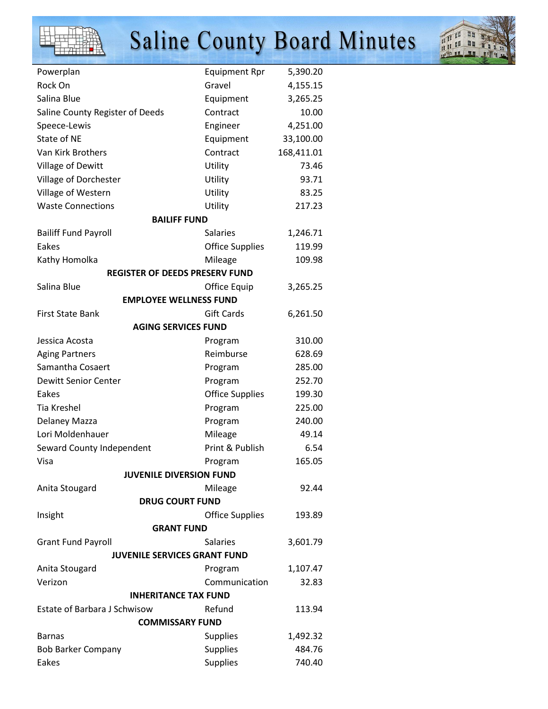



| Powerplan                             | <b>Equipment Rpr</b>   | 5,390.20   |  |
|---------------------------------------|------------------------|------------|--|
| Rock On                               | Gravel                 | 4,155.15   |  |
| Salina Blue                           | Equipment              | 3,265.25   |  |
| Saline County Register of Deeds       | Contract               | 10.00      |  |
| Speece-Lewis                          | Engineer               | 4,251.00   |  |
| State of NE                           | Equipment              | 33,100.00  |  |
| Van Kirk Brothers                     | Contract               | 168,411.01 |  |
| Village of Dewitt                     | Utility                | 73.46      |  |
| Village of Dorchester                 | Utility                | 93.71      |  |
| Village of Western                    | Utility                | 83.25      |  |
| <b>Waste Connections</b>              | Utility                | 217.23     |  |
| <b>BAILIFF FUND</b>                   |                        |            |  |
| <b>Bailiff Fund Payroll</b>           | <b>Salaries</b>        | 1,246.71   |  |
| Eakes                                 | <b>Office Supplies</b> | 119.99     |  |
| Kathy Homolka                         | Mileage                | 109.98     |  |
| <b>REGISTER OF DEEDS PRESERV FUND</b> |                        |            |  |
| Salina Blue                           | Office Equip           | 3,265.25   |  |
| <b>EMPLOYEE WELLNESS FUND</b>         |                        |            |  |
| <b>First State Bank</b>               | <b>Gift Cards</b>      | 6,261.50   |  |
| <b>AGING SERVICES FUND</b>            |                        |            |  |
| Jessica Acosta                        | Program                | 310.00     |  |
| <b>Aging Partners</b>                 | Reimburse              | 628.69     |  |
| Samantha Cosaert                      | Program                | 285.00     |  |
| <b>Dewitt Senior Center</b>           | Program                | 252.70     |  |
| Eakes                                 | <b>Office Supplies</b> | 199.30     |  |
| <b>Tia Kreshel</b>                    | Program                | 225.00     |  |
| Delaney Mazza                         | Program                | 240.00     |  |
| Lori Moldenhauer                      | Mileage                | 49.14      |  |
| Seward County Independent             | Print & Publish        | 6.54       |  |
| Visa                                  | Program                | 165.05     |  |
| <b>JUVENILE DIVERSION FUND</b>        |                        |            |  |
| Anita Stougard                        | Mileage                | 92.44      |  |
| <b>DRUG COURT FUND</b>                |                        |            |  |
| Insight                               | <b>Office Supplies</b> | 193.89     |  |
| <b>GRANT FUND</b>                     |                        |            |  |
| <b>Grant Fund Payroll</b>             | <b>Salaries</b>        | 3,601.79   |  |
| <b>JUVENILE SERVICES GRANT FUND</b>   |                        |            |  |
| Anita Stougard                        | Program                | 1,107.47   |  |
| Verizon                               | Communication          | 32.83      |  |
| <b>INHERITANCE TAX FUND</b>           |                        |            |  |
| <b>Estate of Barbara J Schwisow</b>   | Refund                 | 113.94     |  |
| <b>COMMISSARY FUND</b>                |                        |            |  |
| <b>Barnas</b>                         | <b>Supplies</b>        | 1,492.32   |  |
| <b>Bob Barker Company</b>             | <b>Supplies</b>        | 484.76     |  |
| Eakes                                 | Supplies               | 740.40     |  |
|                                       |                        |            |  |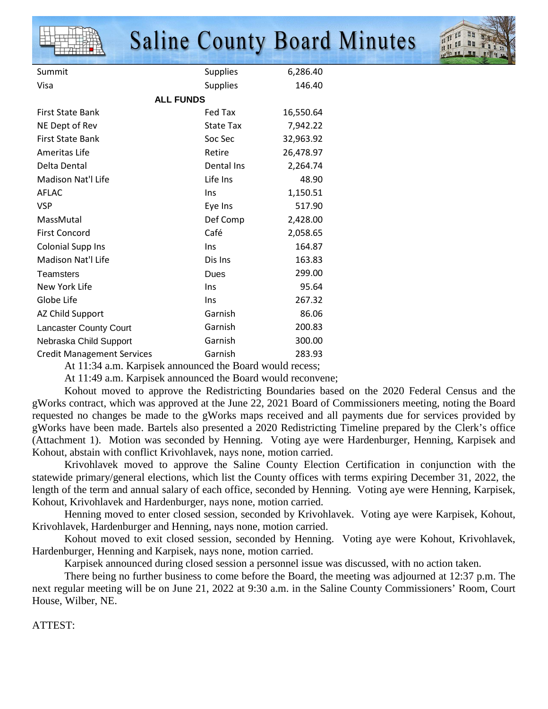

At 11:34 a.m. Karpisek announced the Board would recess;

At 11:49 a.m. Karpisek announced the Board would reconvene;

 Kohout moved to approve the Redistricting Boundaries based on the 2020 Federal Census and the gWorks contract, which was approved at the June 22, 2021 Board of Commissioners meeting, noting the Board requested no changes be made to the gWorks maps received and all payments due for services provided by gWorks have been made. Bartels also presented a 2020 Redistricting Timeline prepared by the Clerk's office (Attachment 1). Motion was seconded by Henning. Voting aye were Hardenburger, Henning, Karpisek and Kohout, abstain with conflict Krivohlavek, nays none, motion carried.

 Krivohlavek moved to approve the Saline County Election Certification in conjunction with the statewide primary/general elections, which list the County offices with terms expiring December 31, 2022, the length of the term and annual salary of each office, seconded by Henning. Voting aye were Henning, Karpisek, Kohout, Krivohlavek and Hardenburger, nays none, motion carried.

 Henning moved to enter closed session, seconded by Krivohlavek. Voting aye were Karpisek, Kohout, Krivohlavek, Hardenburger and Henning, nays none, motion carried.

 Kohout moved to exit closed session, seconded by Henning. Voting aye were Kohout, Krivohlavek, Hardenburger, Henning and Karpisek, nays none, motion carried.

Karpisek announced during closed session a personnel issue was discussed, with no action taken.

 There being no further business to come before the Board, the meeting was adjourned at 12:37 p.m. The next regular meeting will be on June 21, 2022 at 9:30 a.m. in the Saline County Commissioners' Room, Court House, Wilber, NE.

ATTEST: